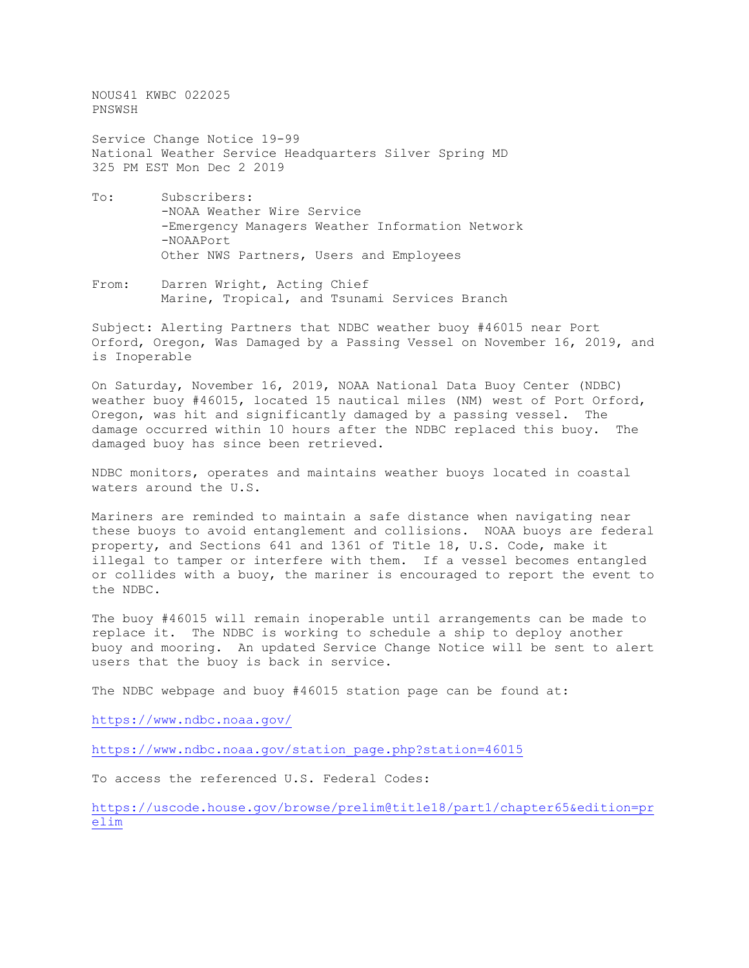NOUS41 KWBC 022025 PNSWSH

Service Change Notice 19-99 National Weather Service Headquarters Silver Spring MD 325 PM EST Mon Dec 2 2019

- To: Subscribers: -NOAA Weather Wire Service -Emergency Managers Weather Information Network -NOAAPort Other NWS Partners, Users and Employees
- From: Darren Wright, Acting Chief Marine, Tropical, and Tsunami Services Branch

Subject: Alerting Partners that NDBC weather buoy #46015 near Port Orford, Oregon, Was Damaged by a Passing Vessel on November 16, 2019, and is Inoperable

On Saturday, November 16, 2019, NOAA National Data Buoy Center (NDBC) weather buoy #46015, located 15 nautical miles (NM) west of Port Orford, Oregon, was hit and significantly damaged by a passing vessel. The damage occurred within 10 hours after the NDBC replaced this buoy. The damaged buoy has since been retrieved.

NDBC monitors, operates and maintains weather buoys located in coastal waters around the U.S.

Mariners are reminded to maintain a safe distance when navigating near these buoys to avoid entanglement and collisions. NOAA buoys are federal property, and Sections 641 and 1361 of Title 18, U.S. Code, make it illegal to tamper or interfere with them. If a vessel becomes entangled or collides with a buoy, the mariner is encouraged to report the event to the NDBC.

The buoy #46015 will remain inoperable until arrangements can be made to replace it. The NDBC is working to schedule a ship to deploy another buoy and mooring. An updated Service Change Notice will be sent to alert users that the buoy is back in service.

The NDBC webpage and buoy #46015 station page can be found at:

<https://www.ndbc.noaa.gov/>

[https://www.ndbc.noaa.gov/station\\_page.php?station=46015](https://www.ndbc.noaa.gov/station_page.php?station=46015)

To access the referenced U.S. Federal Codes:

[https://uscode.house.gov/browse/prelim@title18/part1/chapter65&edition=pr](https://uscode.house.gov/browse/prelim@title18/part1/chapter65&edition=prelim) [elim](https://uscode.house.gov/browse/prelim@title18/part1/chapter65&edition=prelim)